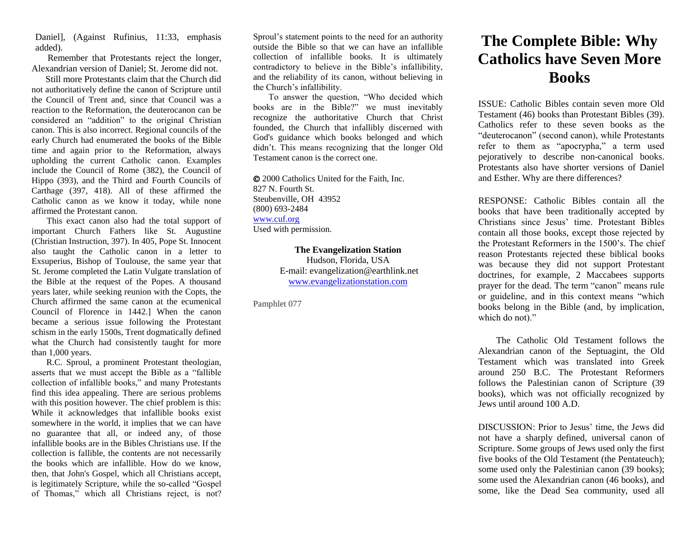Daniel], (Against Rufinius, 11:33, emphasis added).

 Remember that Protestants reject the longer, Alexandrian version of Daniel; St. Jerome did not.

 Still more Protestants claim that the Church did not authoritatively define the canon of Scripture until the Council of Trent and, since that Council was a reaction to the Reformation, the deuterocanon can be considered an "addition" to the original Christian canon. This is also incorrect. Regional councils of the early Church had enumerated the books of the Bible time and again prior to the Reformation, always upholding the current Catholic canon. Examples include the Council of Rome (382), the Council of Hippo (393), and the Third and Fourth Councils of Carthage (397, 418). All of these affirmed the Catholic canon as we know it today, while none affirmed the Protestant canon.

 This exact canon also had the total support of important Church Fathers like St. Augustine (Christian Instruction, 397). In 405, Pope St. Innocent also taught the Catholic canon in a letter to Exsuperius, Bishop of Toulouse, the same year that St. Jerome completed the Latin Vulgate translation of the Bible at the request of the Popes. A thousand years later, while seeking reunion with the Copts, the Church affirmed the same canon at the ecumenical Council of Florence in 1442.] When the canon became a serious issue following the Protestant schism in the early 1500s, Trent dogmatically defined what the Church had consistently taught for more than 1,000 years.

 R.C. Sproul, a prominent Protestant theologian, asserts that we must accept the Bible as a "fallible collection of infallible books," and many Protestants find this idea appealing. There are serious problems with this position however. The chief problem is this: While it acknowledges that infallible books exist somewhere in the world, it implies that we can have no guarantee that all, or indeed any, of those infallible books are in the Bibles Christians use. If the collection is fallible, the contents are not necessarily the books which are infallible. How do we know, then, that John's Gospel, which all Christians accept, is legitimately Scripture, while the so-called "Gospel of Thomas," which all Christians reject, is not?

Sproul's statement points to the need for an authority outside the Bible so that we can have an infallible collection of infallible books. It is ultimately contradictory to believe in the Bible's infallibility, and the reliability of its canon, without believing in the Church's infallibility.

 To answer the question, "Who decided which books are in the Bible?" we must inevitably recognize the authoritative Church that Christ founded, the Church that infallibly discerned with God's guidance which books belonged and which didn't. This means recognizing that the longer Old Testament canon is the correct one.

 2000 Catholics United for the Faith, Inc. 827 N. Fourth St. Steubenville, OH 43952 (800) 693-2484 [www.cuf.org](http://www.cuf.org/) Used with permission.

> **The Evangelization Station** Hudson, Florida, USA E-mail: evangelization@earthlink.net [www.evangelizationstation.com](http://www.pjpiisoe.org/)

Pamphlet 077

## **The Complete Bible: Why Catholics have Seven More Books**

ISSUE: Catholic Bibles contain seven more Old Testament (46) books than Protestant Bibles (39). Catholics refer to these seven books as the "deuterocanon" (second canon), while Protestants refer to them as "apocrypha," a term used pejoratively to describe non-canonical books. Protestants also have shorter versions of Daniel and Esther. Why are there differences?

RESPONSE: Catholic Bibles contain all the books that have been traditionally accepted by Christians since Jesus' time. Protestant Bibles contain all those books, except those rejected by the Protestant Reformers in the 1500's. The chief reason Protestants rejected these biblical books was because they did not support Protestant doctrines, for example, 2 Maccabees supports prayer for the dead. The term "canon" means rule or guideline, and in this context means "which books belong in the Bible (and, by implication, which do not)."

 The Catholic Old Testament follows the Alexandrian canon of the Septuagint, the Old Testament which was translated into Greek around 250 B.C. The Protestant Reformers follows the Palestinian canon of Scripture (39 books), which was not officially recognized by Jews until around 100 A.D.

DISCUSSION: Prior to Jesus' time, the Jews did not have a sharply defined, universal canon of Scripture. Some groups of Jews used only the first five books of the Old Testament (the Pentateuch); some used only the Palestinian canon (39 books); some used the Alexandrian canon (46 books), and some, like the Dead Sea community, used all